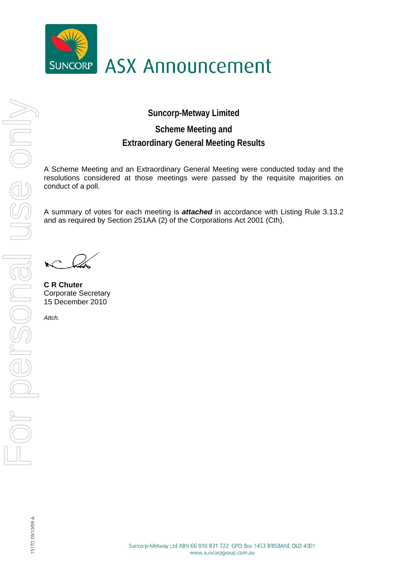

**Suncorp-Metway Limited** 

## **Scheme Meeting and Extraordinary General Meeting Results**

A Scheme Meeting and an Extraordinary General Meeting were conducted today and the resolutions considered at those meetings were passed by the requisite majorities on conduct of a poll.

A summary of votes for each meeting is *attached* in accordance with Listing Rule 3.13.2 and as required by Section 251AA (2) of the Corporations Act 2001 (Cth).

 $\mathcal{N}$ 

**C R Chuter**  Corporate Secretary 15 December 2010

*Attch.*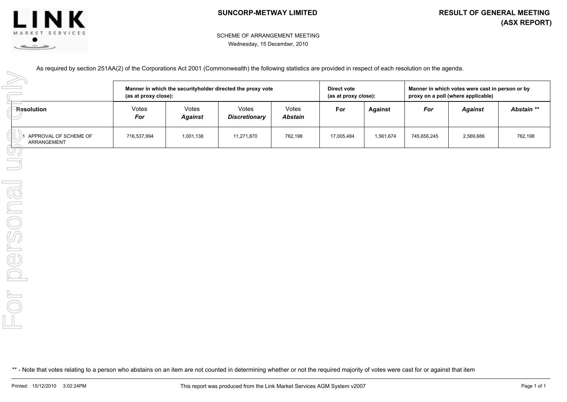



## SCHEME OF ARRANGEMENT MEETING Wednesday, 15 December, 2010

As required by section 251AA(2) of the Corporations Act 2001 (Commonwealth) the following statistics are provided in respect of each resolution on the agenda.

| <b>Resolution</b><br>APPROVAL OF SCHEME OF<br>ARRANGEMENT                                                                                                                                                                                                                                                                                           | Manner in which the securityholder directed the proxy vote<br>(as at proxy close): |                         |                               |                         | Direct vote<br>(as at proxy close): |                | Manner in which votes were cast in person or by<br>proxy on a poll (where applicable) |                |            |
|-----------------------------------------------------------------------------------------------------------------------------------------------------------------------------------------------------------------------------------------------------------------------------------------------------------------------------------------------------|------------------------------------------------------------------------------------|-------------------------|-------------------------------|-------------------------|-------------------------------------|----------------|---------------------------------------------------------------------------------------|----------------|------------|
|                                                                                                                                                                                                                                                                                                                                                     | Votes<br>For                                                                       | Votes<br><b>Against</b> | Votes<br><b>Discretionary</b> | Votes<br><b>Abstain</b> | For                                 | <b>Against</b> | For                                                                                   | <b>Against</b> | Abstain ** |
|                                                                                                                                                                                                                                                                                                                                                     | 716,537,994                                                                        | 1,001,138               | 11,271,870                    | 762,198                 | 17,005,484                          | 1,561,674      | 745,656,245                                                                           | 2,569,686      | 762,198    |
| UP                                                                                                                                                                                                                                                                                                                                                  |                                                                                    |                         |                               |                         |                                     |                |                                                                                       |                |            |
|                                                                                                                                                                                                                                                                                                                                                     |                                                                                    |                         |                               |                         |                                     |                |                                                                                       |                |            |
|                                                                                                                                                                                                                                                                                                                                                     |                                                                                    |                         |                               |                         |                                     |                |                                                                                       |                |            |
|                                                                                                                                                                                                                                                                                                                                                     |                                                                                    |                         |                               |                         |                                     |                |                                                                                       |                |            |
| ersona                                                                                                                                                                                                                                                                                                                                              |                                                                                    |                         |                               |                         |                                     |                |                                                                                       |                |            |
|                                                                                                                                                                                                                                                                                                                                                     |                                                                                    |                         |                               |                         |                                     |                |                                                                                       |                |            |
|                                                                                                                                                                                                                                                                                                                                                     |                                                                                    |                         |                               |                         |                                     |                |                                                                                       |                |            |
| $\begin{picture}(20,20) \put(0,0){\line(1,0){10}} \put(15,0){\line(1,0){10}} \put(15,0){\line(1,0){10}} \put(15,0){\line(1,0){10}} \put(15,0){\line(1,0){10}} \put(15,0){\line(1,0){10}} \put(15,0){\line(1,0){10}} \put(15,0){\line(1,0){10}} \put(15,0){\line(1,0){10}} \put(15,0){\line(1,0){10}} \put(15,0){\line(1,0){10}} \put(15,0){\line(1$ |                                                                                    |                         |                               |                         |                                     |                |                                                                                       |                |            |
| $\Box$                                                                                                                                                                                                                                                                                                                                              |                                                                                    |                         |                               |                         |                                     |                |                                                                                       |                |            |
|                                                                                                                                                                                                                                                                                                                                                     |                                                                                    |                         |                               |                         |                                     |                |                                                                                       |                |            |
| ** - Note that votes relating to a person who abstains on an item are not counted in determining whether or not the required majority of votes were cast for or against that item                                                                                                                                                                   |                                                                                    |                         |                               |                         |                                     |                |                                                                                       |                |            |